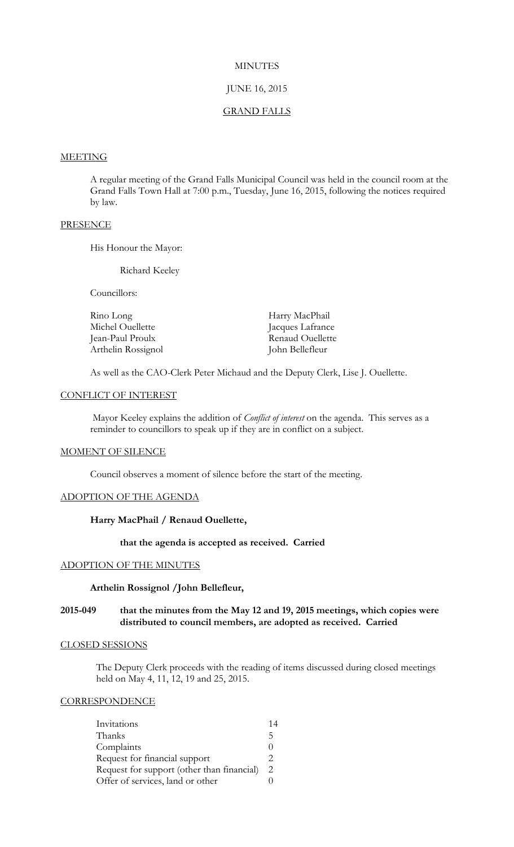# **MINUTES**

# JUNE 16, 2015

#### GRAND FALLS

# **MEETING**

A regular meeting of the Grand Falls Municipal Council was held in the council room at the Grand Falls Town Hall at 7:00 p.m., Tuesday, June 16, 2015, following the notices required by law.

# **PRESENCE**

His Honour the Mayor:

Richard Keeley

Councillors:

| Rino Long          | Harry MacPhail   |
|--------------------|------------------|
| Michel Ouellette   | Jacques Lafrance |
| Jean-Paul Proulx   | Renaud Ouellette |
| Arthelin Rossignol | John Bellefleur  |

As well as the CAO-Clerk Peter Michaud and the Deputy Clerk, Lise J. Ouellette.

# CONFLICT OF INTEREST

Mayor Keeley explains the addition of *Conflict of interest* on the agenda. This serves as a reminder to councillors to speak up if they are in conflict on a subject.

#### MOMENT OF SILENCE

Council observes a moment of silence before the start of the meeting.

#### ADOPTION OF THE AGENDA

**Harry MacPhail / Renaud Ouellette,**

# **that the agenda is accepted as received. Carried**

# ADOPTION OF THE MINUTES

#### **Arthelin Rossignol /John Bellefleur,**

# **2015-049 that the minutes from the May 12 and 19, 2015 meetings, which copies were distributed to council members, are adopted as received. Carried**

#### CLOSED SESSIONS

The Deputy Clerk proceeds with the reading of items discussed during closed meetings held on May 4, 11, 12, 19 and 25, 2015.

## **CORRESPONDENCE**

| Invitations                                | 14 |
|--------------------------------------------|----|
| Thanks                                     | 5  |
| Complaints                                 |    |
| Request for financial support              | 2  |
| Request for support (other than financial) | 2. |
| Offer of services, land or other           |    |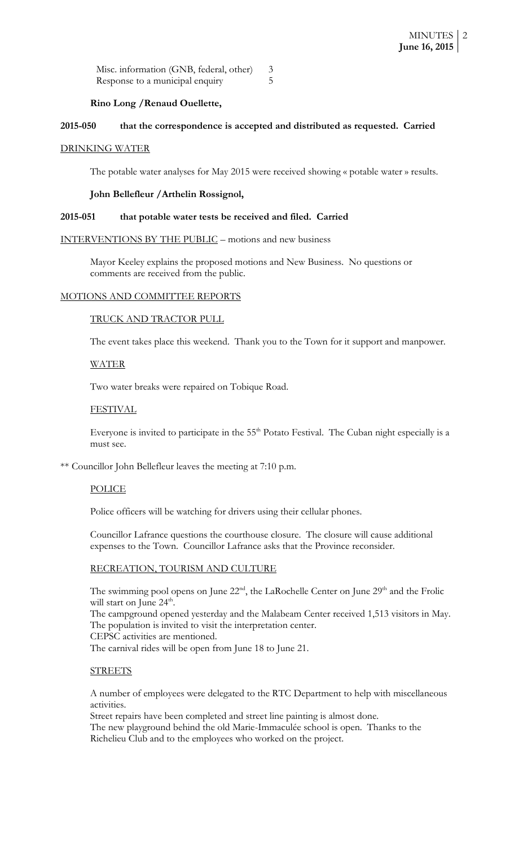| Misc. information (GNB, federal, other) |  |
|-----------------------------------------|--|
| Response to a municipal enquiry         |  |

# **Rino Long /Renaud Ouellette,**

# **2015-050 that the correspondence is accepted and distributed as requested. Carried**

#### DRINKING WATER

The potable water analyses for May 2015 were received showing « potable water » results.

#### **John Bellefleur /Arthelin Rossignol,**

#### **2015-051 that potable water tests be received and filed. Carried**

INTERVENTIONS BY THE PUBLIC – motions and new business

Mayor Keeley explains the proposed motions and New Business. No questions or comments are received from the public.

#### MOTIONS AND COMMITTEE REPORTS

#### TRUCK AND TRACTOR PULL

The event takes place this weekend. Thank you to the Town for it support and manpower.

## WATER

Two water breaks were repaired on Tobique Road.

# FESTIVAL

Everyone is invited to participate in the 55<sup>th</sup> Potato Festival. The Cuban night especially is a must see.

\*\* Councillor John Bellefleur leaves the meeting at 7:10 p.m.

#### POLICE

Police officers will be watching for drivers using their cellular phones.

Councillor Lafrance questions the courthouse closure. The closure will cause additional expenses to the Town. Councillor Lafrance asks that the Province reconsider.

## RECREATION, TOURISM AND CULTURE

The swimming pool opens on June  $22<sup>nd</sup>$ , the LaRochelle Center on June  $29<sup>th</sup>$  and the Frolic will start on June 24<sup>th</sup>.

The campground opened yesterday and the Malabeam Center received 1,513 visitors in May. The population is invited to visit the interpretation center.

CEPSC activities are mentioned.

The carnival rides will be open from June 18 to June 21.

## **STREETS**

A number of employees were delegated to the RTC Department to help with miscellaneous activities.

Street repairs have been completed and street line painting is almost done.

The new playground behind the old Marie-Immaculée school is open. Thanks to the Richelieu Club and to the employees who worked on the project.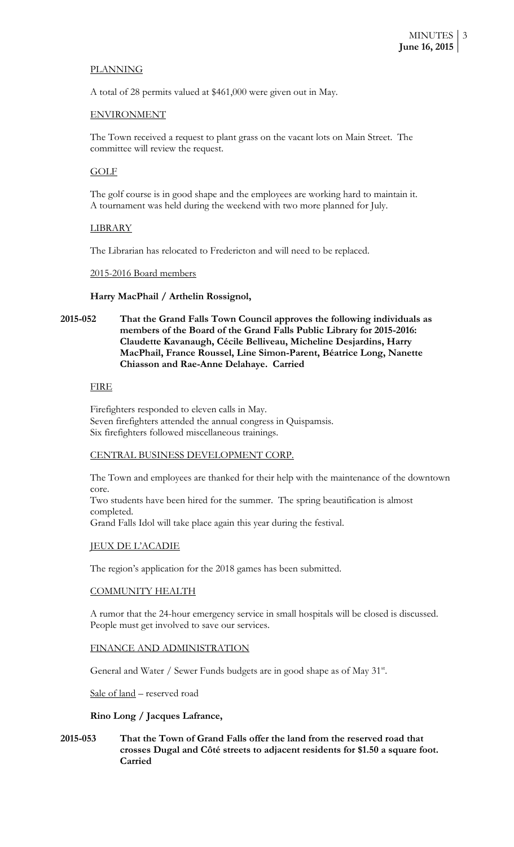# PLANNING

A total of 28 permits valued at \$461,000 were given out in May.

# ENVIRONMENT

The Town received a request to plant grass on the vacant lots on Main Street. The committee will review the request.

# GOLF

The golf course is in good shape and the employees are working hard to maintain it. A tournament was held during the weekend with two more planned for July.

## LIBRARY

The Librarian has relocated to Fredericton and will need to be replaced.

## 2015-2016 Board members

## **Harry MacPhail / Arthelin Rossignol,**

**2015-052 That the Grand Falls Town Council approves the following individuals as members of the Board of the Grand Falls Public Library for 2015-2016: Claudette Kavanaugh, Cécile Belliveau, Micheline Desjardins, Harry MacPhail, France Roussel, Line Simon-Parent, Béatrice Long, Nanette Chiasson and Rae-Anne Delahaye. Carried**

#### FIRE

Firefighters responded to eleven calls in May. Seven firefighters attended the annual congress in Quispamsis. Six firefighters followed miscellaneous trainings.

# CENTRAL BUSINESS DEVELOPMENT CORP.

The Town and employees are thanked for their help with the maintenance of the downtown core.

Two students have been hired for the summer. The spring beautification is almost completed.

Grand Falls Idol will take place again this year during the festival.

#### JEUX DE L'ACADIE

The region's application for the 2018 games has been submitted.

## COMMUNITY HEALTH

A rumor that the 24-hour emergency service in small hospitals will be closed is discussed. People must get involved to save our services.

## FINANCE AND ADMINISTRATION

General and Water / Sewer Funds budgets are in good shape as of May 31<sup>st</sup>.

Sale of land – reserved road

## **Rino Long / Jacques Lafrance,**

# **2015-053 That the Town of Grand Falls offer the land from the reserved road that crosses Dugal and Côté streets to adjacent residents for \$1.50 a square foot. Carried**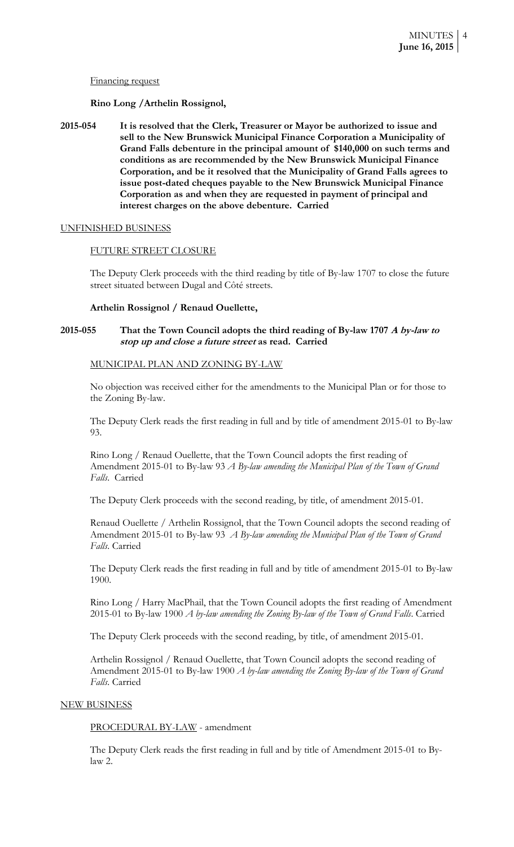#### Financing request

## **Rino Long /Arthelin Rossignol,**

**2015-054 It is resolved that the Clerk, Treasurer or Mayor be authorized to issue and sell to the New Brunswick Municipal Finance Corporation a Municipality of Grand Falls debenture in the principal amount of \$140,000 on such terms and conditions as are recommended by the New Brunswick Municipal Finance Corporation, and be it resolved that the Municipality of Grand Falls agrees to issue post-dated cheques payable to the New Brunswick Municipal Finance Corporation as and when they are requested in payment of principal and interest charges on the above debenture. Carried**

#### UNFINISHED BUSINESS

#### FUTURE STREET CLOSURE

The Deputy Clerk proceeds with the third reading by title of By-law 1707 to close the future street situated between Dugal and Côté streets.

#### **Arthelin Rossignol / Renaud Ouellette,**

# **2015-055 That the Town Council adopts the third reading of By-law 1707 A by-law to stop up and close a future street as read. Carried**

#### MUNICIPAL PLAN AND ZONING BY-LAW

No objection was received either for the amendments to the Municipal Plan or for those to the Zoning By-law.

The Deputy Clerk reads the first reading in full and by title of amendment 2015-01 to By-law 93.

Rino Long / Renaud Ouellette, that the Town Council adopts the first reading of Amendment 2015-01 to By-law 93 *A By-law amending the Municipal Plan of the Town of Grand Falls*. Carried

The Deputy Clerk proceeds with the second reading, by title, of amendment 2015-01.

Renaud Ouellette / Arthelin Rossignol, that the Town Council adopts the second reading of Amendment 2015-01 to By-law 93 *A By-law amending the Municipal Plan of the Town of Grand Falls*. Carried

The Deputy Clerk reads the first reading in full and by title of amendment 2015-01 to By-law 1900.

Rino Long / Harry MacPhail, that the Town Council adopts the first reading of Amendment 2015-01 to By-law 1900 *A by-law amending the Zoning By-law of the Town of Grand Falls*. Carried

The Deputy Clerk proceeds with the second reading, by title, of amendment 2015-01.

Arthelin Rossignol / Renaud Ouellette, that Town Council adopts the second reading of Amendment 2015-01 to By-law 1900 *A by-law amending the Zoning By-law of the Town of Grand Falls*. Carried

#### NEW BUSINESS

PROCEDURAL BY-LAW - amendment

The Deputy Clerk reads the first reading in full and by title of Amendment 2015-01 to Bylaw 2.